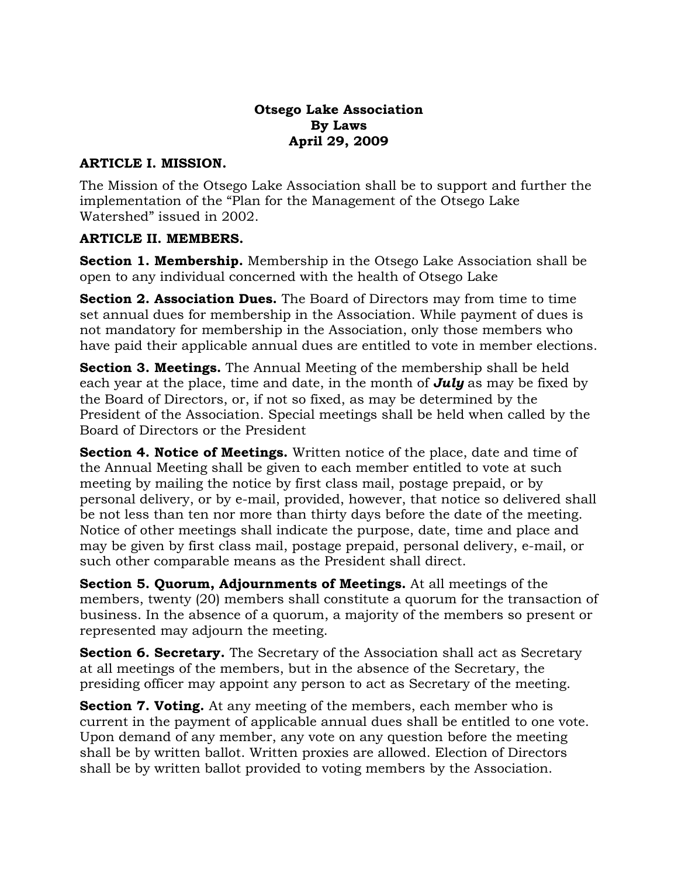#### **Otsego Lake Association By Laws April 29, 2009**

#### **ARTICLE I. MISSION.**

The Mission of the Otsego Lake Association shall be to support and further the implementation of the "Plan for the Management of the Otsego Lake Watershed" issued in 2002.

#### **ARTICLE II. MEMBERS.**

**Section 1. Membership.** Membership in the Otsego Lake Association shall be open to any individual concerned with the health of Otsego Lake

**Section 2. Association Dues.** The Board of Directors may from time to time set annual dues for membership in the Association. While payment of dues is not mandatory for membership in the Association, only those members who have paid their applicable annual dues are entitled to vote in member elections.

**Section 3. Meetings.** The Annual Meeting of the membership shall be held each year at the place, time and date, in the month of *July* as may be fixed by the Board of Directors, or, if not so fixed, as may be determined by the President of the Association. Special meetings shall be held when called by the Board of Directors or the President

**Section 4. Notice of Meetings.** Written notice of the place, date and time of the Annual Meeting shall be given to each member entitled to vote at such meeting by mailing the notice by first class mail, postage prepaid, or by personal delivery, or by e-mail, provided, however, that notice so delivered shall be not less than ten nor more than thirty days before the date of the meeting. Notice of other meetings shall indicate the purpose, date, time and place and may be given by first class mail, postage prepaid, personal delivery, e-mail, or such other comparable means as the President shall direct.

**Section 5. Quorum, Adjournments of Meetings.** At all meetings of the members, twenty (20) members shall constitute a quorum for the transaction of business. In the absence of a quorum, a majority of the members so present or represented may adjourn the meeting.

**Section 6. Secretary.** The Secretary of the Association shall act as Secretary at all meetings of the members, but in the absence of the Secretary, the presiding officer may appoint any person to act as Secretary of the meeting.

**Section 7. Voting.** At any meeting of the members, each member who is current in the payment of applicable annual dues shall be entitled to one vote. Upon demand of any member, any vote on any question before the meeting shall be by written ballot. Written proxies are allowed. Election of Directors shall be by written ballot provided to voting members by the Association.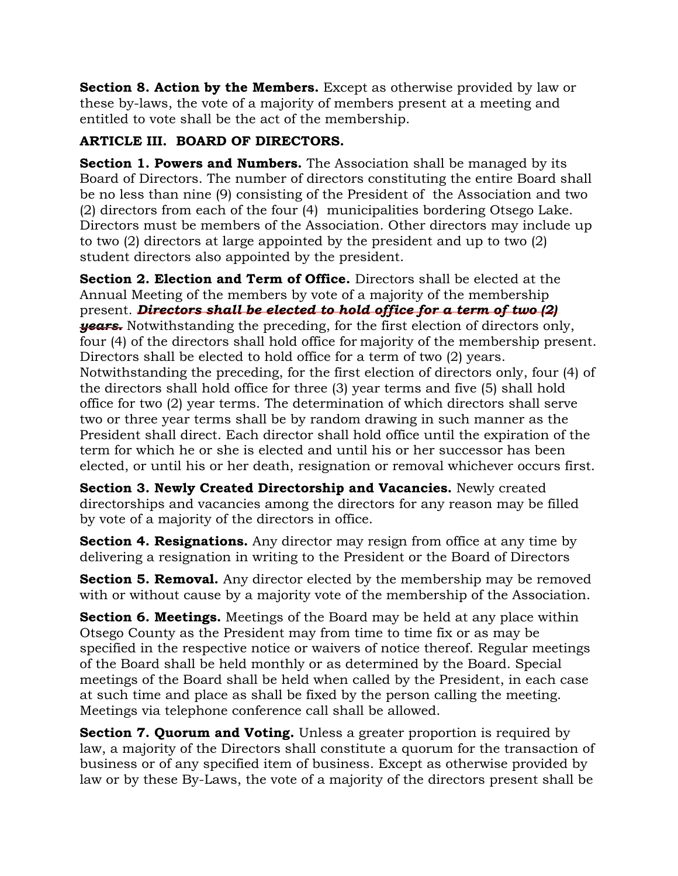**Section 8. Action by the Members.** Except as otherwise provided by law or these by-laws, the vote of a majority of members present at a meeting and entitled to vote shall be the act of the membership.

## **ARTICLE III. BOARD OF DIRECTORS.**

**Section 1. Powers and Numbers.** The Association shall be managed by its Board of Directors. The number of directors constituting the entire Board shall be no less than nine (9) consisting of the President of the Association and two (2) directors from each of the four (4) municipalities bordering Otsego Lake. Directors must be members of the Association. Other directors may include up to two (2) directors at large appointed by the president and up to two (2) student directors also appointed by the president.

**Section 2. Election and Term of Office.** Directors shall be elected at the Annual Meeting of the members by vote of a majority of the membership present. *Directors shall be elected to hold office for a term of two (2) years.* Notwithstanding the preceding, for the first election of directors only, four (4) of the directors shall hold office for majority of the membership present. Directors shall be elected to hold office for a term of two (2) years. Notwithstanding the preceding, for the first election of directors only, four (4) of the directors shall hold office for three (3) year terms and five (5) shall hold office for two (2) year terms. The determination of which directors shall serve two or three year terms shall be by random drawing in such manner as the President shall direct. Each director shall hold office until the expiration of the term for which he or she is elected and until his or her successor has been elected, or until his or her death, resignation or removal whichever occurs first.

**Section 3. Newly Created Directorship and Vacancies.** Newly created directorships and vacancies among the directors for any reason may be filled by vote of a majority of the directors in office.

**Section 4. Resignations.** Any director may resign from office at any time by delivering a resignation in writing to the President or the Board of Directors

**Section 5. Removal.** Any director elected by the membership may be removed with or without cause by a majority vote of the membership of the Association.

**Section 6. Meetings.** Meetings of the Board may be held at any place within Otsego County as the President may from time to time fix or as may be specified in the respective notice or waivers of notice thereof. Regular meetings of the Board shall be held monthly or as determined by the Board. Special meetings of the Board shall be held when called by the President, in each case at such time and place as shall be fixed by the person calling the meeting. Meetings via telephone conference call shall be allowed.

**Section 7. Quorum and Voting.** Unless a greater proportion is required by law, a majority of the Directors shall constitute a quorum for the transaction of business or of any specified item of business. Except as otherwise provided by law or by these By-Laws, the vote of a majority of the directors present shall be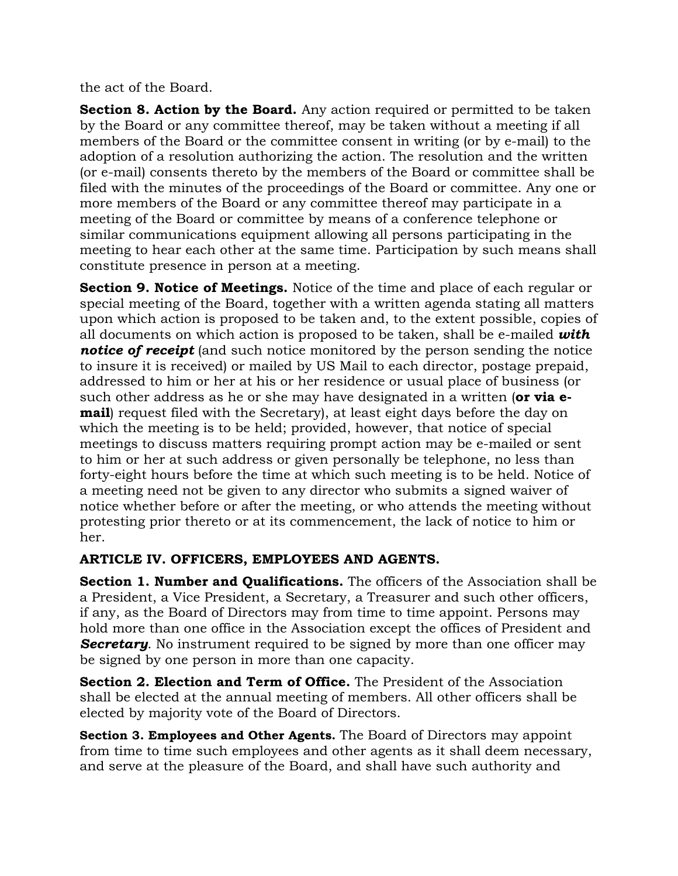the act of the Board.

**Section 8. Action by the Board.** Any action required or permitted to be taken by the Board or any committee thereof, may be taken without a meeting if all members of the Board or the committee consent in writing (or by e-mail) to the adoption of a resolution authorizing the action. The resolution and the written (or e-mail) consents thereto by the members of the Board or committee shall be filed with the minutes of the proceedings of the Board or committee. Any one or more members of the Board or any committee thereof may participate in a meeting of the Board or committee by means of a conference telephone or similar communications equipment allowing all persons participating in the meeting to hear each other at the same time. Participation by such means shall constitute presence in person at a meeting.

**Section 9. Notice of Meetings.** Notice of the time and place of each regular or special meeting of the Board, together with a written agenda stating all matters upon which action is proposed to be taken and, to the extent possible, copies of all documents on which action is proposed to be taken, shall be e-mailed *with notice of receipt* (and such notice monitored by the person sending the notice to insure it is received) or mailed by US Mail to each director, postage prepaid, addressed to him or her at his or her residence or usual place of business (or such other address as he or she may have designated in a written (**or via email**) request filed with the Secretary), at least eight days before the day on which the meeting is to be held; provided, however, that notice of special meetings to discuss matters requiring prompt action may be e-mailed or sent to him or her at such address or given personally be telephone, no less than forty-eight hours before the time at which such meeting is to be held. Notice of a meeting need not be given to any director who submits a signed waiver of notice whether before or after the meeting, or who attends the meeting without protesting prior thereto or at its commencement, the lack of notice to him or her.

### **ARTICLE IV. OFFICERS, EMPLOYEES AND AGENTS.**

**Section 1. Number and Qualifications.** The officers of the Association shall be a President, a Vice President, a Secretary, a Treasurer and such other officers, if any, as the Board of Directors may from time to time appoint. Persons may hold more than one office in the Association except the offices of President and **Secretary.** No instrument required to be signed by more than one officer may be signed by one person in more than one capacity.

**Section 2. Election and Term of Office.** The President of the Association shall be elected at the annual meeting of members. All other officers shall be elected by majority vote of the Board of Directors.

**Section 3. Employees and Other Agents.** The Board of Directors may appoint from time to time such employees and other agents as it shall deem necessary, and serve at the pleasure of the Board, and shall have such authority and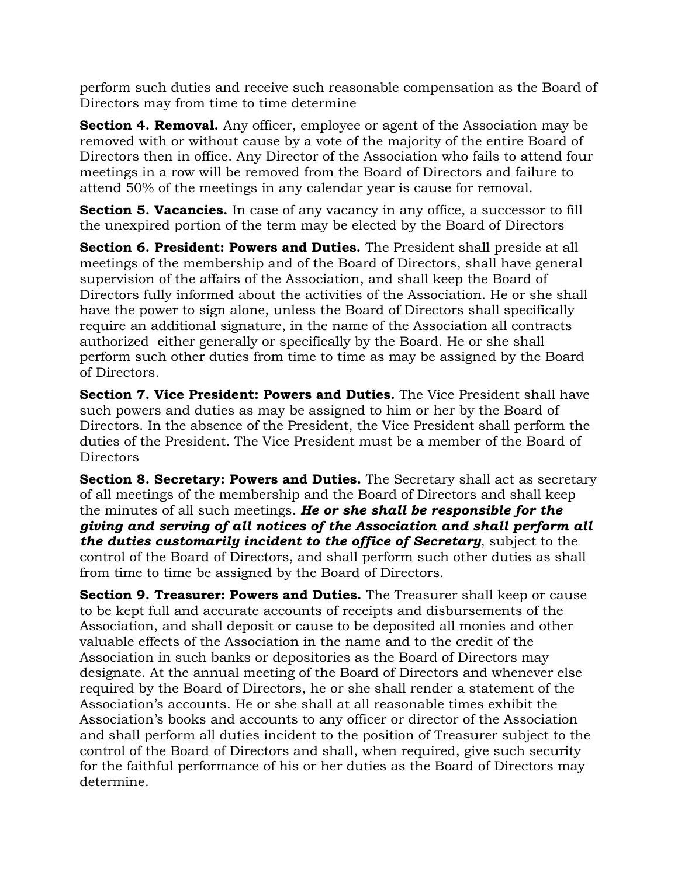perform such duties and receive such reasonable compensation as the Board of Directors may from time to time determine

**Section 4. Removal.** Any officer, employee or agent of the Association may be removed with or without cause by a vote of the majority of the entire Board of Directors then in office. Any Director of the Association who fails to attend four meetings in a row will be removed from the Board of Directors and failure to attend 50% of the meetings in any calendar year is cause for removal.

**Section 5. Vacancies.** In case of any vacancy in any office, a successor to fill the unexpired portion of the term may be elected by the Board of Directors

**Section 6. President: Powers and Duties.** The President shall preside at all meetings of the membership and of the Board of Directors, shall have general supervision of the affairs of the Association, and shall keep the Board of Directors fully informed about the activities of the Association. He or she shall have the power to sign alone, unless the Board of Directors shall specifically require an additional signature, in the name of the Association all contracts authorized either generally or specifically by the Board. He or she shall perform such other duties from time to time as may be assigned by the Board of Directors.

**Section 7. Vice President: Powers and Duties.** The Vice President shall have such powers and duties as may be assigned to him or her by the Board of Directors. In the absence of the President, the Vice President shall perform the duties of the President. The Vice President must be a member of the Board of Directors

**Section 8. Secretary: Powers and Duties.** The Secretary shall act as secretary of all meetings of the membership and the Board of Directors and shall keep the minutes of all such meetings. *He or she shall be responsible for the giving and serving of all notices of the Association and shall perform all the duties customarily incident to the office of Secretary*, subject to the control of the Board of Directors, and shall perform such other duties as shall from time to time be assigned by the Board of Directors.

**Section 9. Treasurer: Powers and Duties.** The Treasurer shall keep or cause to be kept full and accurate accounts of receipts and disbursements of the Association, and shall deposit or cause to be deposited all monies and other valuable effects of the Association in the name and to the credit of the Association in such banks or depositories as the Board of Directors may designate. At the annual meeting of the Board of Directors and whenever else required by the Board of Directors, he or she shall render a statement of the Association's accounts. He or she shall at all reasonable times exhibit the Association's books and accounts to any officer or director of the Association and shall perform all duties incident to the position of Treasurer subject to the control of the Board of Directors and shall, when required, give such security for the faithful performance of his or her duties as the Board of Directors may determine.